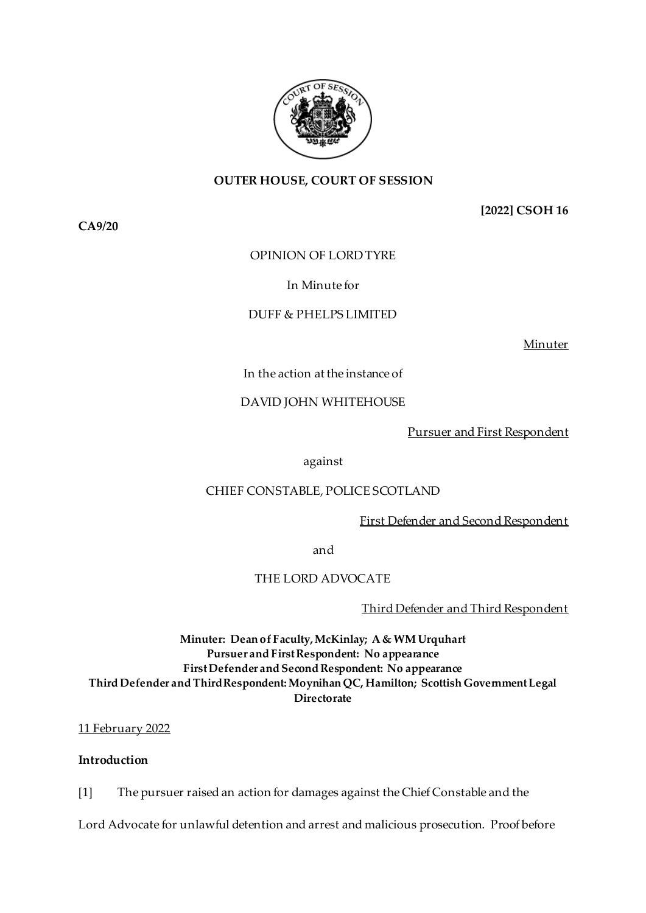

## **OUTER HOUSE, COURT OF SESSION**

**CA9/20**

**[2022] CSOH 16**

## OPINION OF LORD TYRE

## In Minute for

## DUFF & PHELPS LIMITED

Minuter

## In the action at the instance of

## DAVID JOHN WHITEHOUSE

Pursuer and First Respondent

#### against

## CHIEF CONSTABLE, POLICE SCOTLAND

## First Defender and Second Respondent

and

# THE LORD ADVOCATE

Third Defender and Third Respondent

**Minuter: Dean of Faculty, McKinlay; A & WM Urquhart Pursuer and First Respondent: No appearance First Defender and Second Respondent: No appearance Third Defender and Third Respondent: Moynihan QC, Hamilton; Scottish Government Legal Directorate**

## 11 February 2022

# **Introduction**

[1] The pursuer raised an action for damages against the Chief Constable and the

Lord Advocate for unlawful detention and arrest and malicious prosecution. Proof before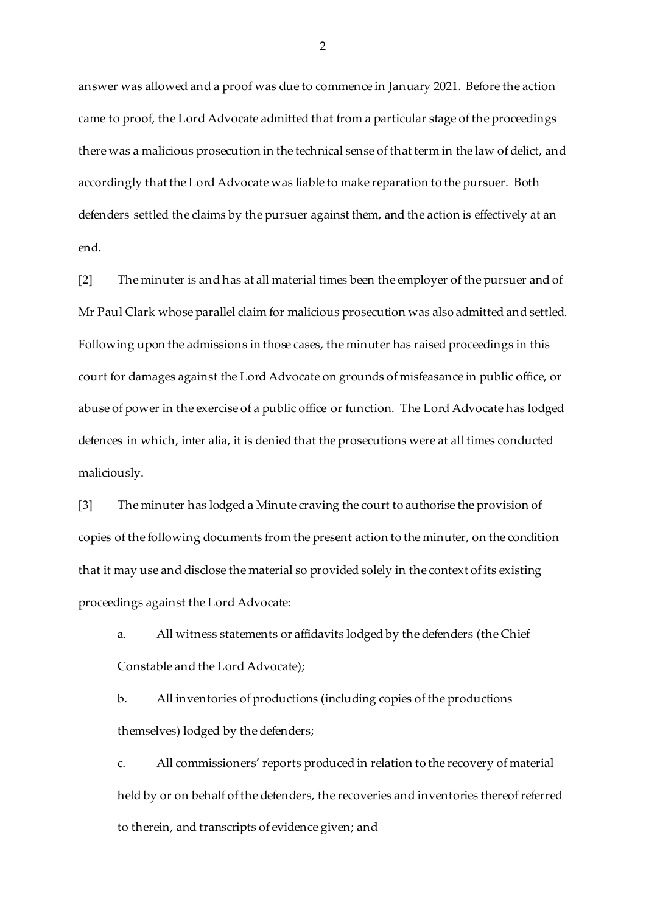answer was allowed and a proof was due to commence in January 2021. Before the action came to proof, the Lord Advocate admitted that from a particular stage of the proceedings there was a malicious prosecution in the technical sense of that term in the law of delict, and accordingly that the Lord Advocate was liable to make reparation to the pursuer. Both defenders settled the claims by the pursuer against them, and the action is effectively at an end.

[2] The minuter is and has at all material times been the employer of the pursuer and of Mr Paul Clark whose parallel claim for malicious prosecution was also admitted and settled. Following upon the admissions in those cases, the minuter has raised proceedings in this court for damages against the Lord Advocate on grounds of misfeasance in public office, or abuse of power in the exercise of a public office or function. The Lord Advocate has lodged defences in which, inter alia, it is denied that the prosecutions were at all times conducted maliciously.

[3] The minuter has lodged a Minute craving the court to authorise the provision of copies of the following documents from the present action to the minuter, on the condition that it may use and disclose the material so provided solely in the context of its existing proceedings against the Lord Advocate:

a. All witness statements or affidavits lodged by the defenders (the Chief Constable and the Lord Advocate);

b. All inventories of productions (including copies of the productions themselves) lodged by the defenders;

c. All commissioners' reports produced in relation to the recovery of material held by or on behalf of the defenders, the recoveries and inventories thereof referred to therein, and transcripts of evidence given; and

 $\mathfrak{D}$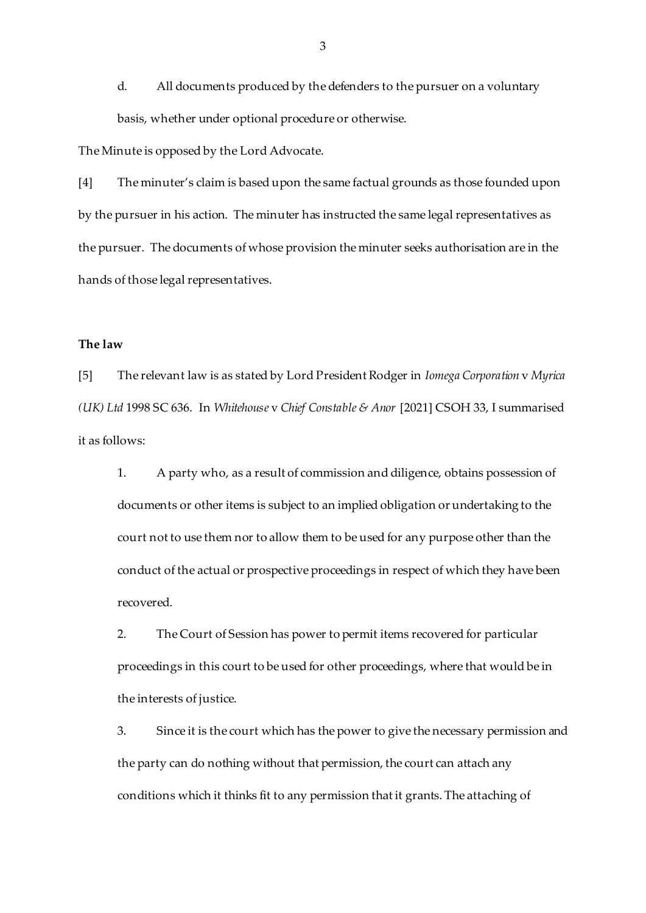d. All documents produced by the defenders to the pursuer on a voluntary basis, whether under optional procedure or otherwise.

The Minute is opposed by the Lord Advocate.

[4] The minuter's claim is based upon the same factual grounds as those founded upon by the pursuer in his action. The minuter has instructed the same legal representatives as the pursuer. The documents of whose provision the minuter seeks authorisation are in the hands of those legal representatives.

#### **The law**

[5] The relevant law is as stated by Lord President Rodger in *Iomega Corporation* v *Myrica (UK) Ltd* 1998 SC 636. In *Whitehouse* v *Chief Constable & Anor* [2021] CSOH 33, I summarised it as follows:

1. A party who, as a result of commission and diligence, obtains possession of documents or other items is subject to an implied obligation or undertaking to the court not to use them nor to allow them to be used for any purpose other than the conduct of the actual or prospective proceedings in respect of which they have been recovered.

2. The Court of Session has power to permit items recovered for particular proceedings in this court to be used for other proceedings, where that would be in the interests of justice.

3. Since it is the court which has the power to give the necessary permission and the party can do nothing without that permission, the court can attach any conditions which it thinks fit to any permission that it grants. The attaching of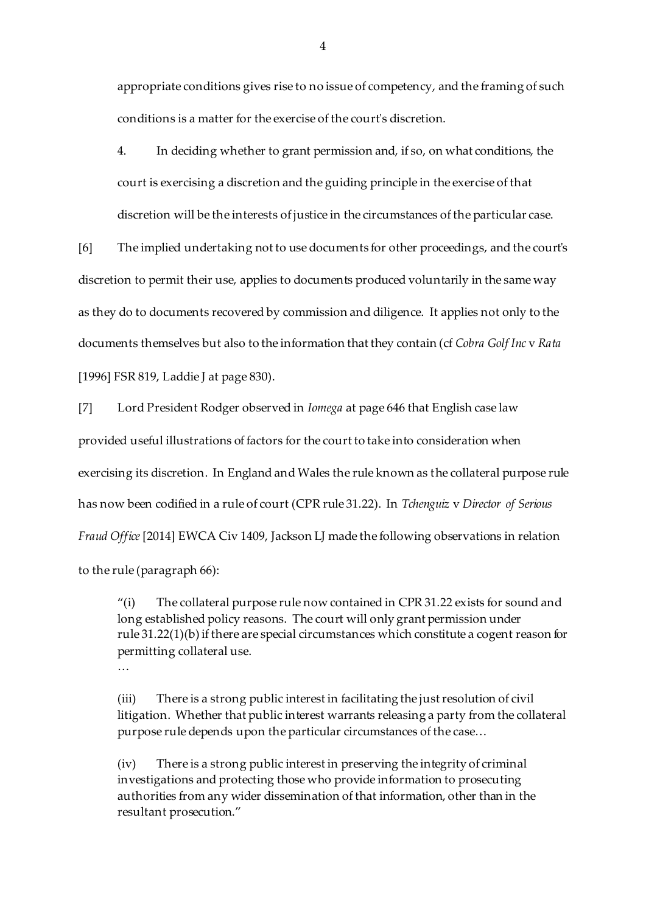appropriate conditions gives rise to no issue of competency, and the framing of such conditions is a matter for the exercise of the court's discretion.

4. In deciding whether to grant permission and, if so, on what conditions, the court is exercising a discretion and the guiding principle in the exercise of that discretion will be the interests of justice in the circumstances of the particular case.

[6] The implied undertaking not to use documents for other proceedings, and the court's discretion to permit their use, applies to documents produced voluntarily in the same way as they do to documents recovered by commission and diligence. It applies not only to the documents themselves but also to the information that they contain (cf *Cobra Golf Inc* v *Rata* [1996] FSR 819, Laddie J at page 830).

[7] Lord President Rodger observed in *Iomega* at page 646 that English case law provided useful illustrations of factors for the court to take into consideration when exercising its discretion. In England and Wales the rule known as the collateral purpose rule has now been codified in a rule of court (CPR rule 31.22). In *Tchenguiz* v *Director of Serious Fraud Office* [2014] EWCA Civ 1409, Jackson LJ made the following observations in relation to the rule (paragraph 66):

"(i) The collateral purpose rule now contained in CPR 31.22 exists for sound and long established policy reasons. The court will only grant permission under rule 31.22(1)(b) if there are special circumstances which constitute a cogent reason for permitting collateral use.

…

(iii) There is a strong public interest in facilitating the just resolution of civil litigation. Whether that public interest warrants releasing a party from the collateral purpose rule depends upon the particular circumstances of the case…

(iv) There is a strong public interest in preserving the integrity of criminal investigations and protecting those who provide information to prosecuting authorities from any wider dissemination of that information, other than in the resultant prosecution."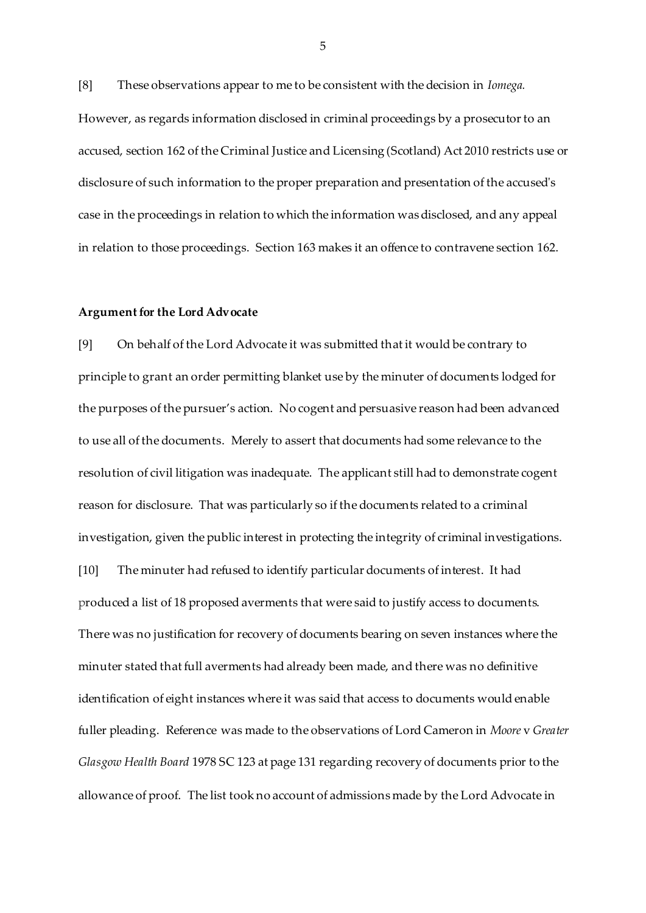[8] These observations appear to me to be consistent with the decision in *Iomega.*  However, as regards information disclosed in criminal proceedings by a prosecutor to an accused, section 162 of the Criminal Justice and Licensing (Scotland) Act 2010 restricts use or disclosure of such information to the proper preparation and presentation of the accused's case in the proceedings in relation to which the information was disclosed, and any appeal in relation to those proceedings. Section 163 makes it an offence to contravene section 162.

#### **Argument for the Lord Advocate**

[9] On behalf of the Lord Advocate it was submitted that it would be contrary to principle to grant an order permitting blanket use by the minuter of documents lodged for the purposes of the pursuer's action. No cogent and persuasive reason had been advanced to use all of the documents. Merely to assert that documents had some relevance to the resolution of civil litigation was inadequate. The applicant still had to demonstrate cogent reason for disclosure. That was particularly so if the documents related to a criminal investigation, given the public interest in protecting the integrity of criminal investigations. [10] The minuter had refused to identify particular documents of interest. It had produced a list of 18 proposed averments that were said to justify access to documents. There was no justification for recovery of documents bearing on seven instances where the minuter stated that full averments had already been made, and there was no definitive identification of eight instances where it was said that access to documents would enable fuller pleading. Reference was made to the observations of Lord Cameron in *Moore* v *Greater Glasgow Health Board* 1978 SC 123 at page 131 regarding recovery of documents prior to the allowance of proof. The list took no account of admissions made by the Lord Advocate in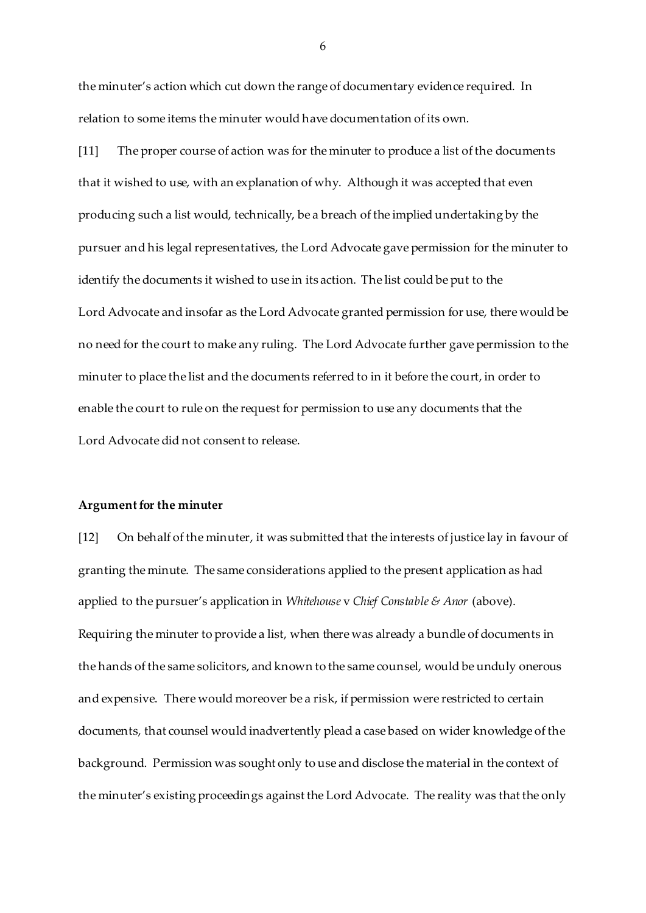the minuter's action which cut down the range of documentary evidence required. In relation to some items the minuter would have documentation of its own.

[11] The proper course of action was for the minuter to produce a list of the documents that it wished to use, with an explanation of why. Although it was accepted that even producing such a list would, technically, be a breach of the implied undertaking by the pursuer and his legal representatives, the Lord Advocate gave permission for the minuter to identify the documents it wished to use in its action. The list could be put to the Lord Advocate and insofar as the Lord Advocate granted permission for use, there would be no need for the court to make any ruling. The Lord Advocate further gave permission to the minuter to place the list and the documents referred to in it before the court, in order to enable the court to rule on the request for permission to use any documents that the Lord Advocate did not consent to release.

#### **Argument for the minuter**

[12] On behalf of the minuter, it was submitted that the interests of justice lay in favour of granting the minute. The same considerations applied to the present application as had applied to the pursuer's application in *Whitehouse* v *Chief Constable & Anor* (above). Requiring the minuter to provide a list, when there was already a bundle of documents in the hands of the same solicitors, and known to the same counsel, would be unduly onerous and expensive. There would moreover be a risk, if permission were restricted to certain documents, that counsel would inadvertently plead a case based on wider knowledge of the background. Permission was sought only to use and disclose the material in the context of the minuter's existing proceedings against the Lord Advocate. The reality was that the only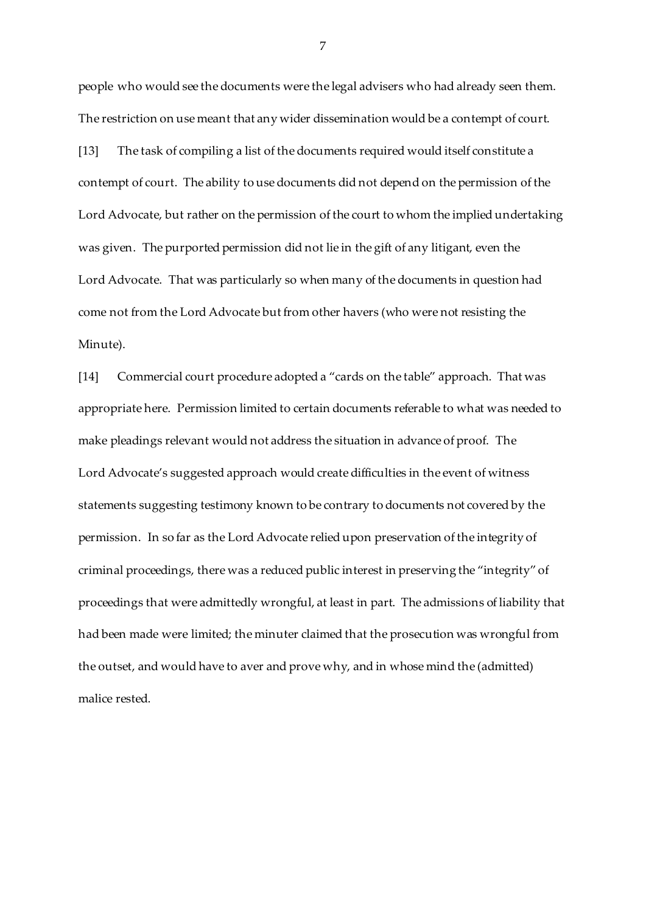people who would see the documents were the legal advisers who had already seen them. The restriction on use meant that any wider dissemination would be a contempt of court. [13] The task of compiling a list of the documents required would itself constitute a contempt of court. The ability to use documents did not depend on the permission of the Lord Advocate, but rather on the permission of the court to whom the implied undertaking was given. The purported permission did not lie in the gift of any litigant, even the Lord Advocate. That was particularly so when many of the documents in question had come not from the Lord Advocate but from other havers (who were not resisting the Minute).

[14] Commercial court procedure adopted a "cards on the table" approach. That was appropriate here. Permission limited to certain documents referable to what was needed to make pleadings relevant would not address the situation in advance of proof. The Lord Advocate's suggested approach would create difficulties in the event of witness statements suggesting testimony known to be contrary to documents not covered by the permission. In so far as the Lord Advocate relied upon preservation of the integrity of criminal proceedings, there was a reduced public interest in preserving the "integrity" of proceedings that were admittedly wrongful, at least in part. The admissions of liability that had been made were limited; the minuter claimed that the prosecution was wrongful from the outset, and would have to aver and prove why, and in whose mind the (admitted) malice rested.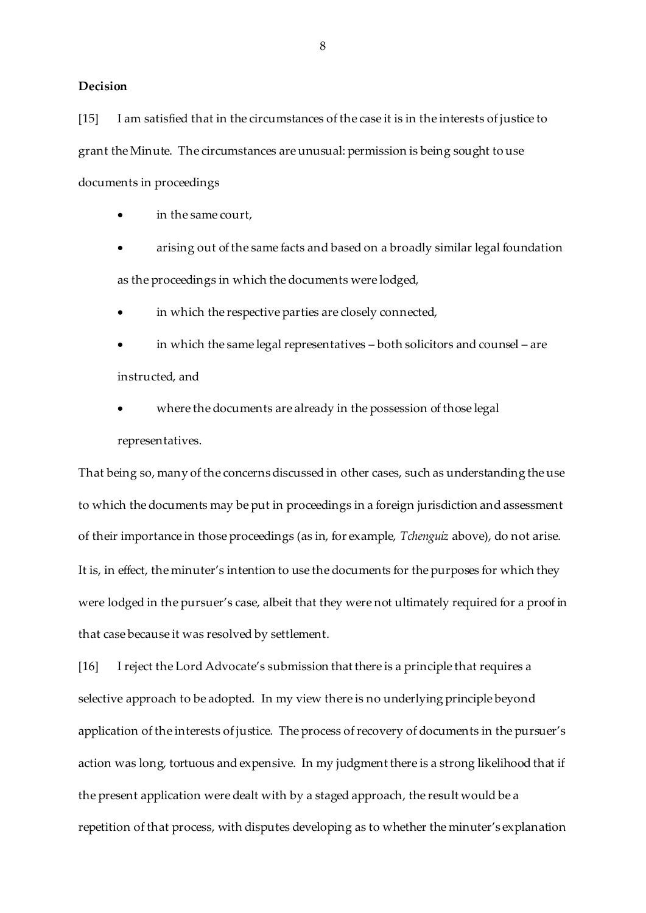#### **Decision**

[15] I am satisfied that in the circumstances of the case it is in the interests of justice to grant the Minute. The circumstances are unusual: permission is being sought to use documents in proceedings

in the same court,

 arising out of the same facts and based on a broadly similar legal foundation as the proceedings in which the documents were lodged,

in which the respective parties are closely connected,

 in which the same legal representatives – both solicitors and counsel – are instructed, and

where the documents are already in the possession of those legal

representatives.

That being so, many of the concerns discussed in other cases, such as understanding the use to which the documents may be put in proceedings in a foreign jurisdiction and assessment of their importance in those proceedings (as in, for example, *Tchenguiz* above), do not arise. It is, in effect, the minuter's intention to use the documents for the purposes for which they were lodged in the pursuer's case, albeit that they were not ultimately required for a proof in that case because it was resolved by settlement.

[16] I reject the Lord Advocate's submission that there is a principle that requires a selective approach to be adopted. In my view there is no underlying principle beyond application of the interests of justice. The process of recovery of documents in the pursuer's action was long, tortuous and expensive. In my judgment there is a strong likelihood that if the present application were dealt with by a staged approach, the result would be a repetition of that process, with disputes developing as to whether the minuter's explanation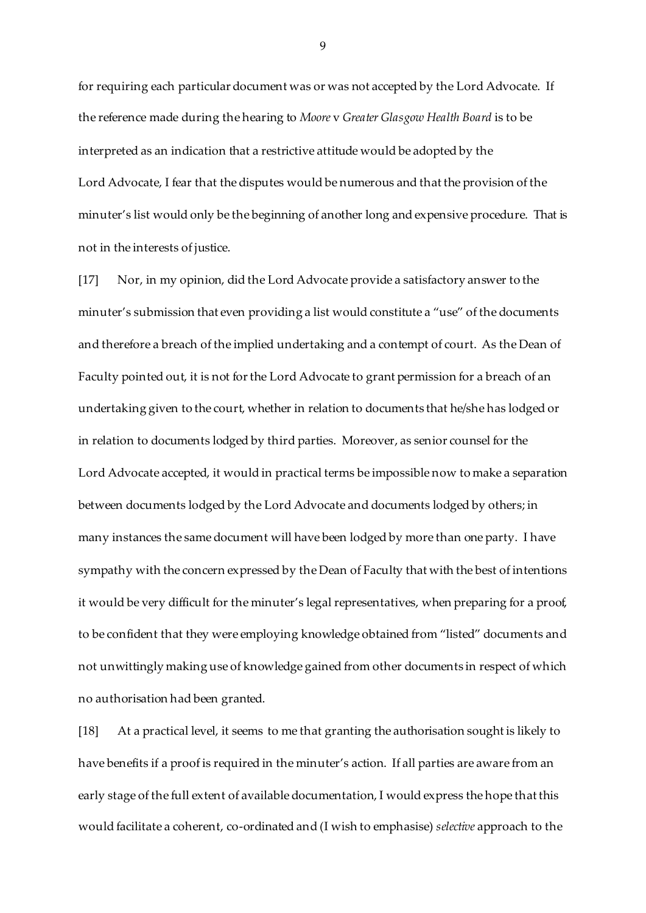for requiring each particular document was or was not accepted by the Lord Advocate. If the reference made during the hearing to *Moore* v *Greater Glasgow Health Board* is to be interpreted as an indication that a restrictive attitude would be adopted by the Lord Advocate, I fear that the disputes would be numerous and that the provision of the minuter's list would only be the beginning of another long and expensive procedure. That is not in the interests of justice.

[17] Nor, in my opinion, did the Lord Advocate provide a satisfactory answer to the minuter's submission that even providing a list would constitute a "use" of the documents and therefore a breach of the implied undertaking and a contempt of court. As the Dean of Faculty pointed out, it is not for the Lord Advocate to grant permission for a breach of an undertaking given to the court, whether in relation to documents that he/she has lodged or in relation to documents lodged by third parties. Moreover, as senior counsel for the Lord Advocate accepted, it would in practical terms be impossible now to make a separation between documents lodged by the Lord Advocate and documents lodged by others; in many instances the same document will have been lodged by more than one party. I have sympathy with the concern expressed by the Dean of Faculty that with the best of intentions it would be very difficult for the minuter's legal representatives, when preparing for a proof, to be confident that they were employing knowledge obtained from "listed" documents and not unwittingly making use of knowledge gained from other documents in respect of which no authorisation had been granted.

[18] At a practical level, it seems to me that granting the authorisation sought is likely to have benefits if a proof is required in the minuter's action. If all parties are aware from an early stage of the full extent of available documentation, I would express the hope that this would facilitate a coherent, co-ordinated and (I wish to emphasise) *selective* approach to the